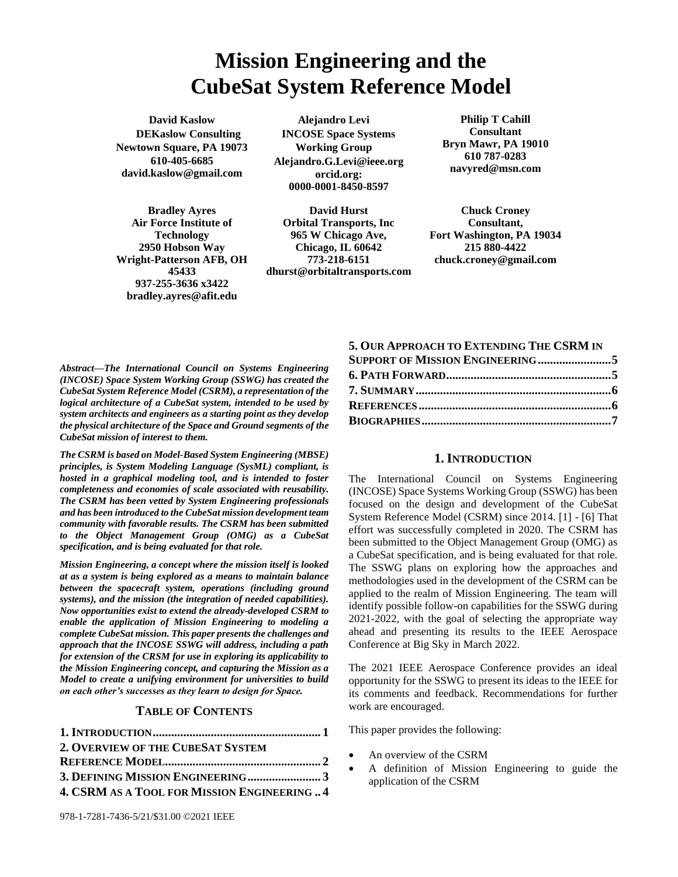# **Mission Engineering and the CubeSat System Reference Model**

**David Kaslow DEKaslow Consulting Newtown Square, PA 19073 610-405-6685 david.kaslow@gmail.com**

**Bradley Ayres Air Force Institute of Technology 2950 Hobson Way Wright-Patterson AFB, OH 45433 937-255-3636 x3422 bradley.ayres@afit.edu**

**Alejandro Levi INCOSE Space Systems Working Group Alejandro.G.Levi@ieee.org [orcid.org:](http://orcid.org/) 0000-0001-8450-8597**

**David Hurst Orbital Transports, Inc 965 W Chicago Ave, Chicago, IL 60642 773-218-6151 dhurst@orbitaltransports.com**

**Philip T Cahill Consultant Bryn Mawr, PA 19010 610 787-0283 navyred@msn.com**

**Chuck Croney Consultant, Fort Washington, PA 19034 215 880-4422 chuck.croney@gmail.com**

*Abstract—The International Council on Systems Engineering (INCOSE) Space System Working Group (SSWG) has created the CubeSat System Reference Model (CSRM), a representation of the logical architecture of a CubeSat system, intended to be used by system architects and engineers as a starting point as they develop the physical architecture of the Space and Ground segments of the CubeSat mission of interest to them.*

*The CSRM is based on Model-Based System Engineering (MBSE) principles, is System Modeling Language (SysML) compliant, is hosted in a graphical modeling tool, and is intended to foster completeness and economies of scale associated with reusability. The CSRM has been vetted by System Engineering professionals and has been introduced to the CubeSat mission development team community with favorable results. The CSRM has been submitted to the Object Management Group (OMG) as a CubeSat specification, and is being evaluated for that role.*

*Mission Engineering, a concept where the mission itself is looked at as a system is being explored as a means to maintain balance between the spacecraft system, operations (including ground systems), and the mission (the integration of needed capabilities). Now opportunities exist to extend the already-developed CSRM to enable the application of Mission Engineering to modeling a complete CubeSat mission. This paper presents the challenges and approach that the INCOSE SSWG will address, including a path for extension of the CRSM for use in exploring its applicability to the Mission Engineering concept, and capturing the Mission as a Model to create a unifying environment for universities to build on each other's successes as they learn to design for Space.*

### **TABLE OF CONTENTS**

| 2. OVERVIEW OF THE CUBESAT SYSTEM            |  |
|----------------------------------------------|--|
|                                              |  |
| 3. DEFINING MISSION ENGINEERING3             |  |
| 4. CSRM AS A TOOL FOR MISSION ENGINEERING  4 |  |

#### **5. OUR A[PPROACH TO](#page-4-0) EXTENDING THE CSRM IN**

| <b>SUPPORT OF MISSION ENGINEERING 5</b> |  |
|-----------------------------------------|--|
|                                         |  |
|                                         |  |
|                                         |  |
|                                         |  |

#### **1. INTRODUCTION**

<span id="page-0-0"></span>The International Council on Systems Engineering (INCOSE) Space Systems Working Group (SSWG) has been focused on the design and development of the CubeSat System Reference Model (CSRM) since 2014. [1] - [6] That effort was successfully completed in 2020. The CSRM has been submitted to the Object Management Group (OMG) as a CubeSat specification, and is being evaluated for that role. The SSWG plans on exploring how the approaches and methodologies used in the development of the CSRM can be applied to the realm of Mission Engineering. The team will identify possible follow-on capabilities for the SSWG during 2021-2022, with the goal of selecting the appropriate way ahead and presenting its results to the IEEE Aerospace Conference at Big Sky in March 2022.

The 2021 IEEE Aerospace Conference provides an ideal opportunity for the SSWG to present its ideas to the IEEE for its comments and feedback. Recommendations for further work are encouraged.

This paper provides the following:

- An overview of the CSRM
- A definition of Mission Engineering to guide the application of the CSRM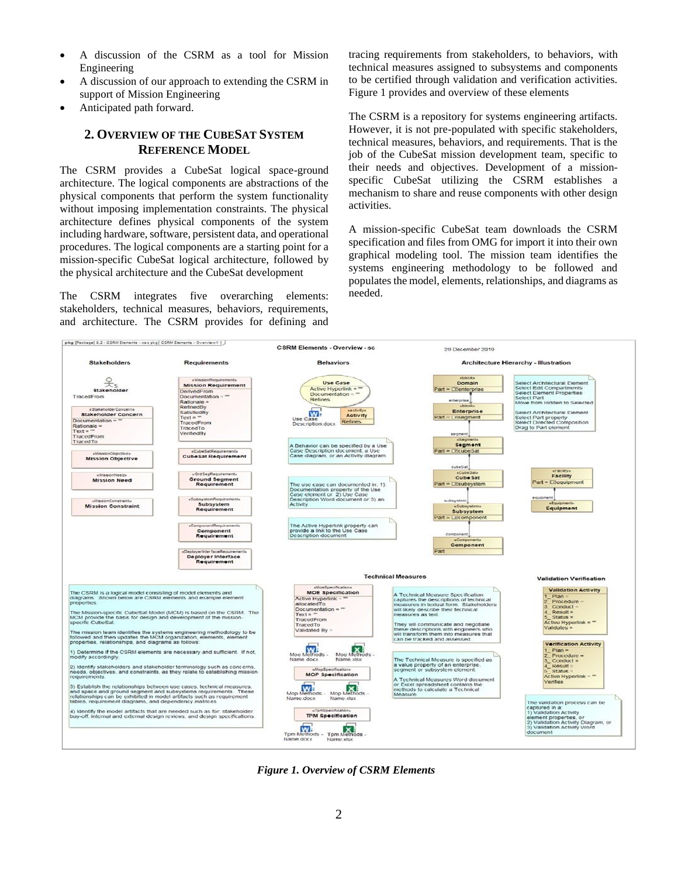- A discussion of the CSRM as a tool for Mission Engineering
- A discussion of our approach to extending the CSRM in support of Mission Engineering
- <span id="page-1-0"></span>• Anticipated path forward.

# **2. OVERVIEW OF THE CUBESAT SYSTEM REFERENCE MODEL**

The CSRM provides a CubeSat logical space-ground architecture. The logical components are abstractions of the physical components that perform the system functionality without imposing implementation constraints. The physical architecture defines physical components of the system including hardware, software, persistent data, and operational procedures. The logical components are a starting point for a mission-specific CubeSat logical architecture, followed by the physical architecture and the CubeSat development

The CSRM integrates five overarching elements: stakeholders, technical measures, behaviors, requirements, and architecture. The CSRM provides for defining and tracing requirements from stakeholders, to behaviors, with technical measures assigned to subsystems and components to be certified through validation and verification activities. Figure 1 provides and overview of these elements

The CSRM is a repository for systems engineering artifacts. However, it is not pre-populated with specific stakeholders, technical measures, behaviors, and requirements. That is the job of the CubeSat mission development team, specific to their needs and objectives. Development of a missionspecific CubeSat utilizing the CSRM establishes a mechanism to share and reuse components with other design activities.

A mission-specific CubeSat team downloads the CSRM specification and files from OMG for import it into their own graphical modeling tool. The mission team identifies the systems engineering methodology to be followed and populates the model, elements, relationships, and diagrams as needed.



*Figure 1. Overview of CSRM Elements*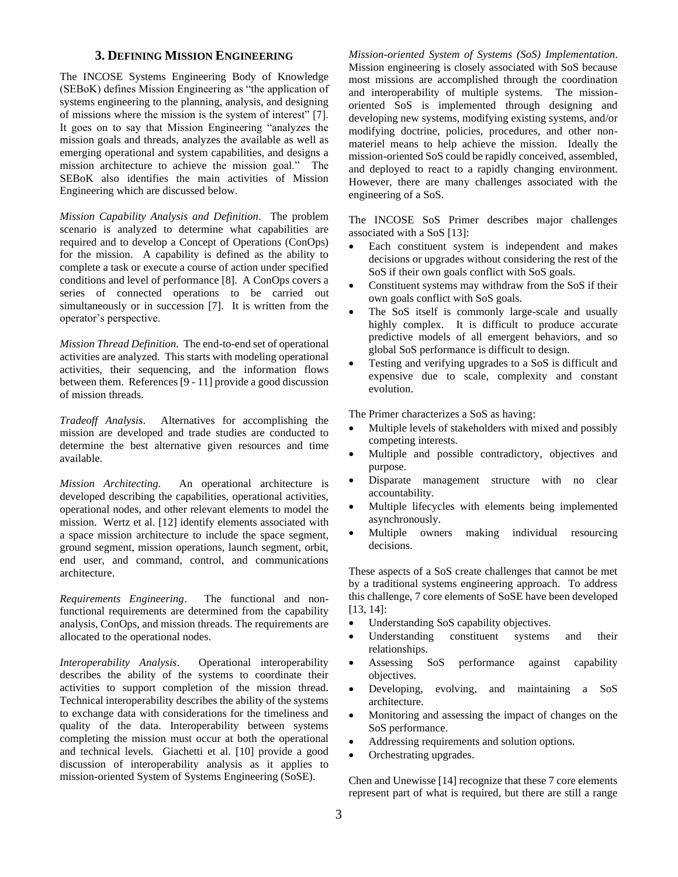#### **3. DEFINING MISSION ENGINEERING**

<span id="page-2-0"></span>The INCOSE Systems Engineering Body of Knowledge (SEBoK) defines Mission Engineering as "the application of systems engineering to the planning, analysis, and designing of missions where the mission is the system of interest" [7]. It goes on to say that Mission Engineering "analyzes the mission goals and threads, analyzes the available as well as emerging operational and system capabilities, and designs a mission architecture to achieve the mission goal." The SEBoK also identifies the main activities of Mission Engineering which are discussed below.

*Mission Capability Analysis and Definition*. The problem scenario is analyzed to determine what capabilities are required and to develop a Concept of Operations (ConOps) for the mission. A capability is defined as the ability to complete a task or execute a course of action under specified conditions and level of performance [8]. A ConOps covers a series of connected operations to be carried out simultaneously or in succession [7]. It is written from the operator's perspective.

*Mission Thread Definition.* The end-to-end set of operational activities are analyzed. This starts with modeling operational activities, their sequencing, and the information flows between them. References [9 - 11] provide a good discussion of mission threads.

*Tradeoff Analysis*. Alternatives for accomplishing the mission are developed and trade studies are conducted to determine the best alternative given resources and time available.

*Mission Architecting.* An operational architecture is developed describing the capabilities, operational activities, operational nodes, and other relevant elements to model the mission. Wertz et al. [12] identify elements associated with a space mission architecture to include the space segment, ground segment, mission operations, launch segment, orbit, end user, and command, control, and communications architecture.

*Requirements Engineering*. The functional and nonfunctional requirements are determined from the capability analysis, ConOps, and mission threads. The requirements are allocated to the operational nodes.

*Interoperability Analysis*. Operational interoperability describes the ability of the systems to coordinate their activities to support completion of the mission thread. Technical interoperability describes the ability of the systems to exchange data with considerations for the timeliness and quality of the data. Interoperability between systems completing the mission must occur at both the operational and technical levels. Giachetti et al. [10] provide a good discussion of interoperability analysis as it applies to mission-oriented System of Systems Engineering (SoSE).

*Mission-oriented System of Systems (SoS) Implementation*. Mission engineering is closely associated with SoS because most missions are accomplished through the coordination and interoperability of multiple systems. The missionoriented SoS is implemented through designing and developing new systems, modifying existing systems, and/or modifying doctrine, policies, procedures, and other nonmateriel means to help achieve the mission. Ideally the mission-oriented SoS could be rapidly conceived, assembled, and deployed to react to a rapidly changing environment. However, there are many challenges associated with the engineering of a SoS.

The INCOSE SoS Primer describes major challenges associated with a SoS [13]:

- Each constituent system is independent and makes decisions or upgrades without considering the rest of the SoS if their own goals conflict with SoS goals.
- Constituent systems may withdraw from the SoS if their own goals conflict with SoS goals.
- The SoS itself is commonly large-scale and usually highly complex. It is difficult to produce accurate predictive models of all emergent behaviors, and so global SoS performance is difficult to design.
- Testing and verifying upgrades to a SoS is difficult and expensive due to scale, complexity and constant evolution.

The Primer characterizes a SoS as having:

- Multiple levels of stakeholders with mixed and possibly competing interests.
- Multiple and possible contradictory, objectives and purpose.
- Disparate management structure with no clear accountability.
- Multiple lifecycles with elements being implemented asynchronously.
- Multiple owners making individual resourcing decisions.

These aspects of a SoS create challenges that cannot be met by a traditional systems engineering approach. To address this challenge, 7 core elements of SoSE have been developed [13, 14]:

- Understanding SoS capability objectives.
- Understanding constituent systems and their relationships.
- Assessing SoS performance against capability objectives.
- Developing, evolving, and maintaining a SoS architecture.
- Monitoring and assessing the impact of changes on the SoS performance.
- Addressing requirements and solution options.
- Orchestrating upgrades.

Chen and Unewisse [14] recognize that these 7 core elements represent part of what is required, but there are still a range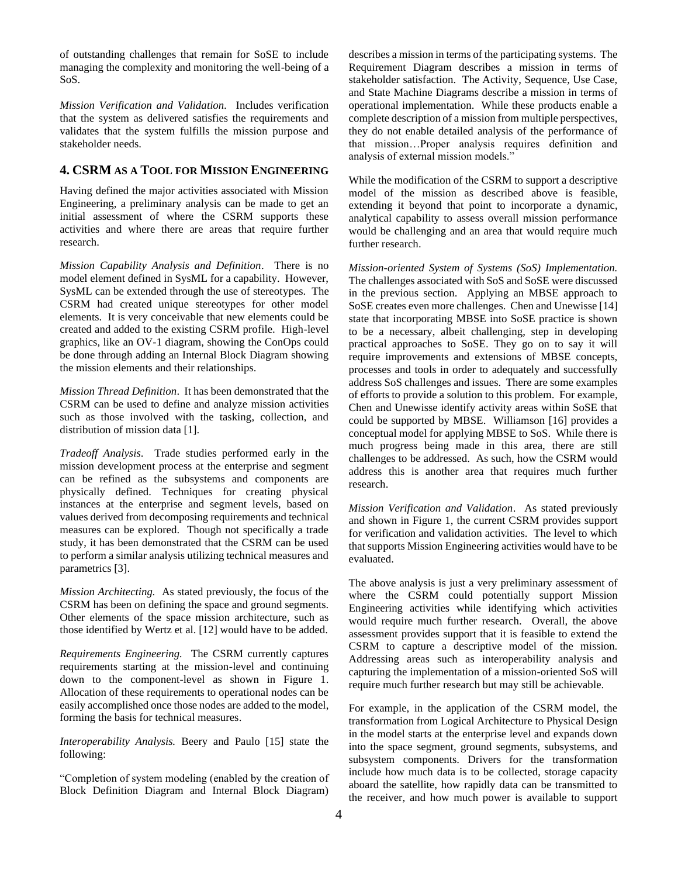of outstanding challenges that remain for SoSE to include managing the complexity and monitoring the well-being of a SoS.

*Mission Verification and Validation.* Includes verification that the system as delivered satisfies the requirements and validates that the system fulfills the mission purpose and stakeholder needs.

## <span id="page-3-0"></span>**4. CSRM AS A TOOL FOR MISSION ENGINEERING**

Having defined the major activities associated with Mission Engineering, a preliminary analysis can be made to get an initial assessment of where the CSRM supports these activities and where there are areas that require further research.

*Mission Capability Analysis and Definition*. There is no model element defined in SysML for a capability. However, SysML can be extended through the use of stereotypes. The CSRM had created unique stereotypes for other model elements. It is very conceivable that new elements could be created and added to the existing CSRM profile. High-level graphics, like an OV-1 diagram, showing the ConOps could be done through adding an Internal Block Diagram showing the mission elements and their relationships.

*Mission Thread Definition*. It has been demonstrated that the CSRM can be used to define and analyze mission activities such as those involved with the tasking, collection, and distribution of mission data [1].

*Tradeoff Analysis*. Trade studies performed early in the mission development process at the enterprise and segment can be refined as the subsystems and components are physically defined. Techniques for creating physical instances at the enterprise and segment levels, based on values derived from decomposing requirements and technical measures can be explored. Though not specifically a trade study, it has been demonstrated that the CSRM can be used to perform a similar analysis utilizing technical measures and parametrics [3].

*Mission Architecting.* As stated previously, the focus of the CSRM has been on defining the space and ground segments. Other elements of the space mission architecture, such as those identified by Wertz et al. [12] would have to be added.

*Requirements Engineering.* The CSRM currently captures requirements starting at the mission-level and continuing down to the component-level as shown in Figure 1. Allocation of these requirements to operational nodes can be easily accomplished once those nodes are added to the model, forming the basis for technical measures.

*Interoperability Analysis.* Beery and Paulo [15] state the following:

"Completion of system modeling (enabled by the creation of Block Definition Diagram and Internal Block Diagram)

describes a mission in terms of the participating systems. The Requirement Diagram describes a mission in terms of stakeholder satisfaction. The Activity, Sequence, Use Case, and State Machine Diagrams describe a mission in terms of operational implementation. While these products enable a complete description of a mission from multiple perspectives, they do not enable detailed analysis of the performance of that mission…Proper analysis requires definition and analysis of external mission models."

While the modification of the CSRM to support a descriptive model of the mission as described above is feasible, extending it beyond that point to incorporate a dynamic, analytical capability to assess overall mission performance would be challenging and an area that would require much further research.

*Mission-oriented System of Systems (SoS) Implementation.* The challenges associated with SoS and SoSE were discussed in the previous section. Applying an MBSE approach to SoSE creates even more challenges. Chen and Unewisse [14] state that incorporating MBSE into SoSE practice is shown to be a necessary, albeit challenging, step in developing practical approaches to SoSE. They go on to say it will require improvements and extensions of MBSE concepts, processes and tools in order to adequately and successfully address SoS challenges and issues. There are some examples of efforts to provide a solution to this problem. For example, Chen and Unewisse identify activity areas within SoSE that could be supported by MBSE. Williamson [16] provides a conceptual model for applying MBSE to SoS. While there is much progress being made in this area, there are still challenges to be addressed. As such, how the CSRM would address this is another area that requires much further research.

*Mission Verification and Validation*. As stated previously and shown in Figure 1, the current CSRM provides support for verification and validation activities. The level to which that supports Mission Engineering activities would have to be evaluated.

The above analysis is just a very preliminary assessment of where the CSRM could potentially support Mission Engineering activities while identifying which activities would require much further research. Overall, the above assessment provides support that it is feasible to extend the CSRM to capture a descriptive model of the mission. Addressing areas such as interoperability analysis and capturing the implementation of a mission-oriented SoS will require much further research but may still be achievable.

For example, in the application of the CSRM model, the transformation from Logical Architecture to Physical Design in the model starts at the enterprise level and expands down into the space segment, ground segments, subsystems, and subsystem components. Drivers for the transformation include how much data is to be collected, storage capacity aboard the satellite, how rapidly data can be transmitted to the receiver, and how much power is available to support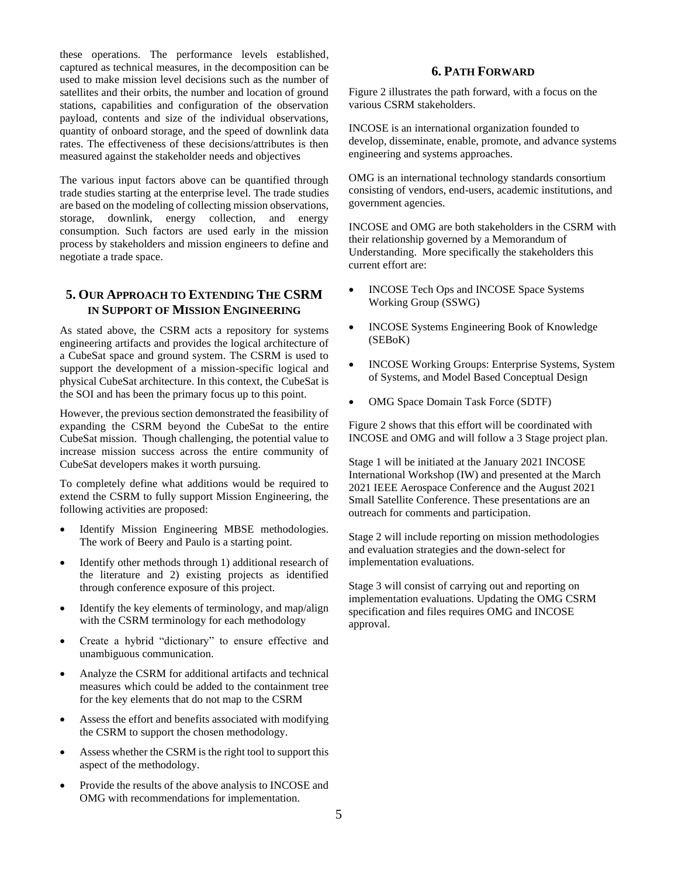these operations. The performance levels established, captured as technical measures, in the decomposition can be used to make mission level decisions such as the number of satellites and their orbits, the number and location of ground stations, capabilities and configuration of the observation payload, contents and size of the individual observations, quantity of onboard storage, and the speed of downlink data rates. The effectiveness of these decisions/attributes is then measured against the stakeholder needs and objectives

The various input factors above can be quantified through trade studies starting at the enterprise level. The trade studies are based on the modeling of collecting mission observations, storage, downlink, energy collection, and energy consumption. Such factors are used early in the mission process by stakeholders and mission engineers to define and negotiate a trade space.

# <span id="page-4-0"></span>**5. OUR APPROACH TO EXTENDING THE CSRM IN SUPPORT OF MISSION ENGINEERING**

As stated above, the CSRM acts a repository for systems engineering artifacts and provides the logical architecture of a CubeSat space and ground system. The CSRM is used to support the development of a mission-specific logical and physical CubeSat architecture. In this context, the CubeSat is the SOI and has been the primary focus up to this point.

However, the previous section demonstrated the feasibility of expanding the CSRM beyond the CubeSat to the entire CubeSat mission. Though challenging, the potential value to increase mission success across the entire community of CubeSat developers makes it worth pursuing.

To completely define what additions would be required to extend the CSRM to fully support Mission Engineering, the following activities are proposed:

- Identify Mission Engineering MBSE methodologies. The work of Beery and Paulo is a starting point.
- Identify other methods through 1) additional research of the literature and 2) existing projects as identified through conference exposure of this project.
- Identify the key elements of terminology, and map/align with the CSRM terminology for each methodology
- Create a hybrid "dictionary" to ensure effective and unambiguous communication.
- Analyze the CSRM for additional artifacts and technical measures which could be added to the containment tree for the key elements that do not map to the CSRM
- Assess the effort and benefits associated with modifying the CSRM to support the chosen methodology.
- Assess whether the CSRM is the right tool to support this aspect of the methodology.
- Provide the results of the above analysis to INCOSE and OMG with recommendations for implementation.

## **6. PATH FORWARD**

<span id="page-4-1"></span>Figure 2 illustrates the path forward, with a focus on the various CSRM stakeholders.

INCOSE is an international organization founded to develop, disseminate, enable, promote, and advance systems engineering and systems approaches.

OMG is an international technology standards consortium consisting of vendors, end-users, academic institutions, and government agencies.

INCOSE and OMG are both stakeholders in the CSRM with their relationship governed by a Memorandum of Understanding. More specifically the stakeholders this current effort are:

- INCOSE Tech Ops and INCOSE Space Systems Working Group (SSWG)
- INCOSE Systems Engineering Book of Knowledge (SEBoK)
- INCOSE Working Groups: Enterprise Systems, System of Systems, and Model Based Conceptual Design
- OMG Space Domain Task Force (SDTF)

Figure 2 shows that this effort will be coordinated with INCOSE and OMG and will follow a 3 Stage project plan.

Stage 1 will be initiated at the January 2021 INCOSE International Workshop (IW) and presented at the March 2021 IEEE Aerospace Conference and the August 2021 Small Satellite Conference. These presentations are an outreach for comments and participation.

Stage 2 will include reporting on mission methodologies and evaluation strategies and the down-select for implementation evaluations.

Stage 3 will consist of carrying out and reporting on implementation evaluations. Updating the OMG CSRM specification and files requires OMG and INCOSE approval.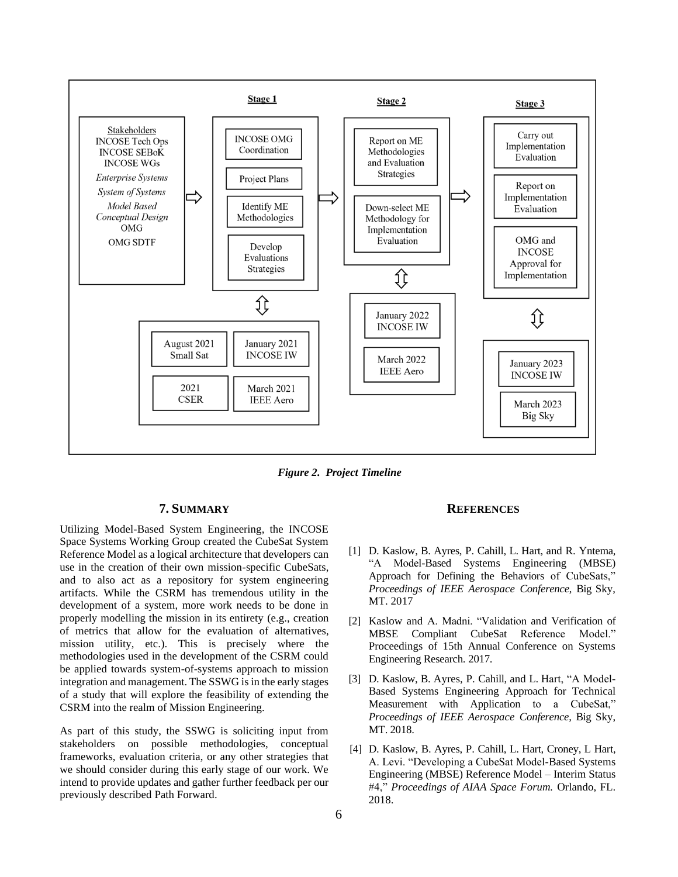

*Figure 2. Project Timeline*

### **7. SUMMARY**

<span id="page-5-0"></span>Utilizing Model-Based System Engineering, the INCOSE Space Systems Working Group created the CubeSat System Reference Model as a logical architecture that developers can use in the creation of their own mission-specific CubeSats, and to also act as a repository for system engineering artifacts. While the CSRM has tremendous utility in the development of a system, more work needs to be done in properly modelling the mission in its entirety (e.g., creation of metrics that allow for the evaluation of alternatives, mission utility, etc.). This is precisely where the methodologies used in the development of the CSRM could be applied towards system-of-systems approach to mission integration and management. The SSWG is in the early stages of a study that will explore the feasibility of extending the CSRM into the realm of Mission Engineering.

As part of this study, the SSWG is soliciting input from stakeholders on possible methodologies, conceptual frameworks, evaluation criteria, or any other strategies that we should consider during this early stage of our work. We intend to provide updates and gather further feedback per our previously described Path Forward.

#### **REFERENCES**

- <span id="page-5-1"></span>[1] D. Kaslow, B. Ayres, P. Cahill, L. Hart, and R. Yntema, "A Model-Based Systems Engineering (MBSE) Approach for Defining the Behaviors of CubeSats," *Proceedings of IEEE Aerospace Conference*, Big Sky, MT. 2017
- [2] Kaslow and A. Madni. "Validation and Verification of MBSE Compliant CubeSat Reference Model." Proceedings of 15th Annual Conference on Systems Engineering Research. 2017.
- [3] D. Kaslow, B. Ayres, P. Cahill, and L. Hart, "A Model-Based Systems Engineering Approach for Technical Measurement with Application to a CubeSat," *Proceedings of IEEE Aerospace Conference,* Big Sky, MT. 2018.
- [4] D. Kaslow, B. Ayres, P. Cahill, L. Hart, Croney, L Hart, A. Levi. "Developing a CubeSat Model-Based Systems Engineering (MBSE) Reference Model – Interim Status #4," *Proceedings of AIAA Space Forum.* Orlando, FL. 2018.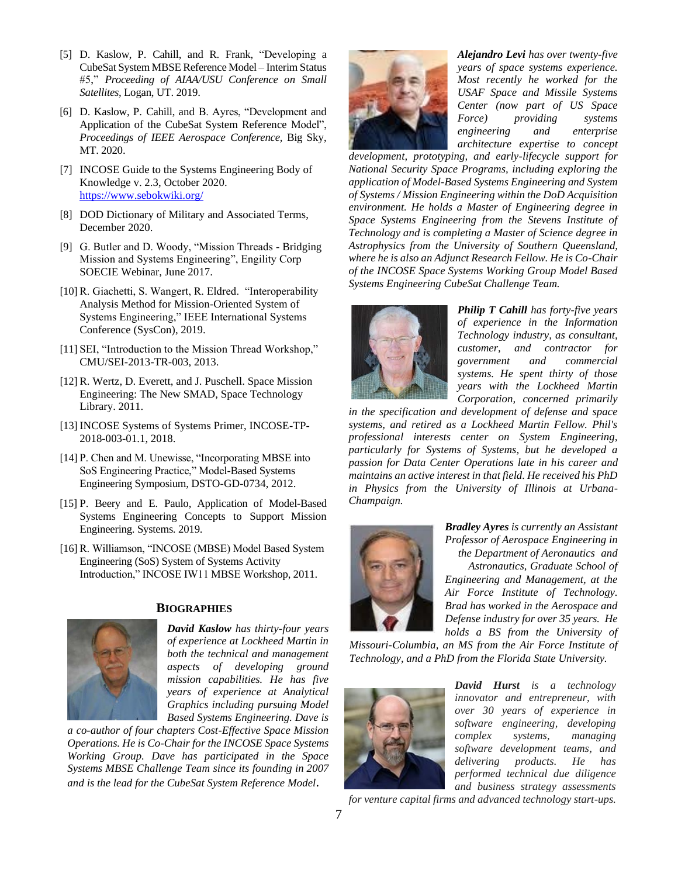- [5] D. Kaslow, P. Cahill, and R. Frank, "Developing a CubeSat System MBSE Reference Model – Interim Status #5," *Proceeding of AIAA/USU Conference on Small Satellites,* Logan, UT. 2019.
- [6] D. Kaslow, P. Cahill, and B. Ayres, "Development and Application of the CubeSat System Reference Model", *Proceedings of IEEE Aerospace Conference,* Big Sky, MT. 2020.
- [7] INCOSE Guide to the Systems Engineering Body of Knowledge v. 2.3, October 2020. <https://www.sebokwiki.org/>
- [8] DOD Dictionary of Military and Associated Terms, December 2020.
- [9] G. Butler and D. Woody, "Mission Threads Bridging Mission and Systems Engineering", Engility Corp SOECIE Webinar, June 2017.
- [10] R. Giachetti, S. Wangert, R. Eldred. "Interoperability Analysis Method for Mission-Oriented System of Systems Engineering," IEEE International Systems Conference (SysCon), 2019.
- [11] SEI, "Introduction to the Mission Thread Workshop," CMU/SEI-2013-TR-003, 2013.
- [12] R. Wertz, D. Everett, and J. Puschell. Space Mission Engineering: The New SMAD, Space Technology Library. 2011.
- [13] INCOSE Systems of Systems Primer, INCOSE-TP-2018-003-01.1, 2018.
- [14] P. Chen and M. Unewisse, "Incorporating MBSE into SoS Engineering Practice," Model-Based Systems Engineering Symposium, DSTO-GD-0734, 2012.
- [15] P. Beery and E. Paulo, Application of Model-Based Systems Engineering Concepts to Support Mission Engineering. Systems. 2019.
- [16] R. Williamson, "INCOSE (MBSE) Model Based System Engineering (SoS) System of Systems Activity Introduction," INCOSE IW11 MBSE Workshop, 2011.

<span id="page-6-0"></span>

### **BIOGRAPHIES**

*David Kaslow has thirty-four years of experience at Lockheed Martin in both the technical and management aspects of developing ground mission capabilities. He has five years of experience at Analytical Graphics including pursuing Model Based Systems Engineering. Dave is* 

*a co-author of four chapters Cost-Effective Space Mission Operations. He is Co-Chair for the INCOSE Space Systems Working Group. Dave has participated in the Space Systems MBSE Challenge Team since its founding in 2007 and is the lead for the CubeSat System Reference Model.* 



*Alejandro Levi has over twenty-five years of space systems experience. Most recently he worked for the USAF Space and Missile Systems Center (now part of US Space Force) providing systems engineering and enterprise architecture expertise to concept* 

*development, prototyping, and early-lifecycle support for National Security Space Programs, including exploring the application of Model-Based Systems Engineering and System of Systems / Mission Engineering within the DoD Acquisition environment. He holds a Master of Engineering degree in Space Systems Engineering from the Stevens Institute of Technology and is completing a Master of Science degree in Astrophysics from the University of Southern Queensland, where he is also an Adjunct Research Fellow. He is Co-Chair of the INCOSE Space Systems Working Group Model Based Systems Engineering CubeSat Challenge Team.* 



*Philip T Cahill has forty-five years of experience in the Information Technology industry, as consultant, customer, and contractor for government and commercial systems. He spent thirty of those years with the Lockheed Martin Corporation, concerned primarily* 

*in the specification and development of defense and space systems, and retired as a Lockheed Martin Fellow. Phil's professional interests center on System Engineering, particularly for Systems of Systems, but he developed a passion for Data Center Operations late in his career and maintains an active interest in that field. He received his PhD in Physics from the University of Illinois at Urbana-Champaign.* 



*Bradley Ayres is currently an Assistant Professor of Aerospace Engineering in the Department of Aeronautics and Astronautics, Graduate School of Engineering and Management, at the Air Force Institute of Technology. Brad has worked in the Aerospace and Defense industry for over 35 years. He holds a BS from the University of* 

*Missouri-Columbia, an MS from the Air Force Institute of Technology, and a PhD from the Florida State University.* 



*David Hurst is a technology innovator and entrepreneur, with over 30 years of experience in software engineering, developing complex systems, managing software development teams, and delivering products. He has performed technical due diligence and business strategy assessments* 

*for venture capital firms and advanced technology start-ups.*